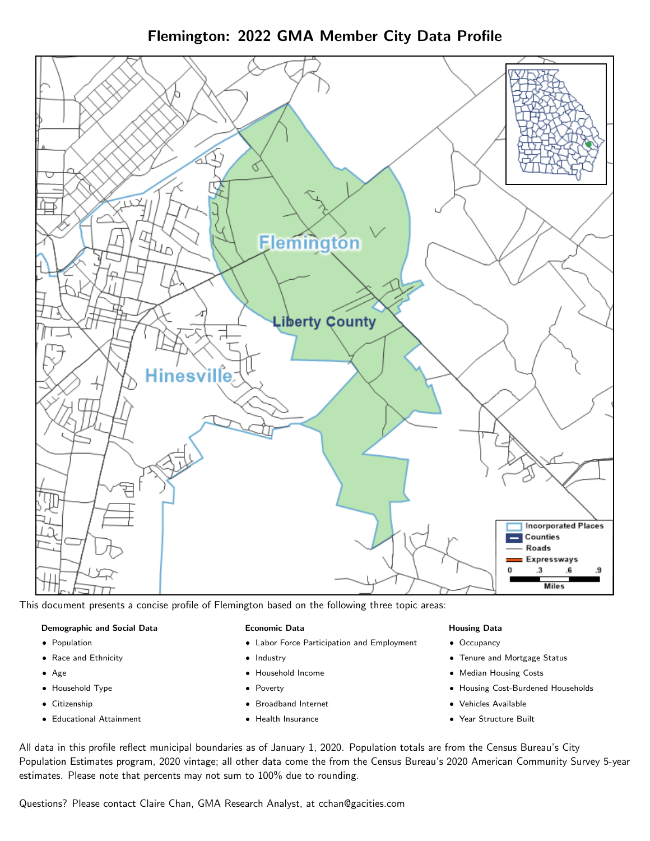# Flemington: 2022 GMA Member City Data Profile



This document presents a concise profile of Flemington based on the following three topic areas:

#### Demographic and Social Data

- **•** Population
- Race and Ethnicity
- Age
- Household Type
- **Citizenship**
- Educational Attainment

#### Economic Data

- Labor Force Participation and Employment
- Industry
- Household Income
- Poverty
- Broadband Internet
- Health Insurance

### Housing Data

- Occupancy
- Tenure and Mortgage Status
- Median Housing Costs
- Housing Cost-Burdened Households
- Vehicles Available
- Year Structure Built

All data in this profile reflect municipal boundaries as of January 1, 2020. Population totals are from the Census Bureau's City Population Estimates program, 2020 vintage; all other data come the from the Census Bureau's 2020 American Community Survey 5-year estimates. Please note that percents may not sum to 100% due to rounding.

Questions? Please contact Claire Chan, GMA Research Analyst, at [cchan@gacities.com.](mailto:cchan@gacities.com)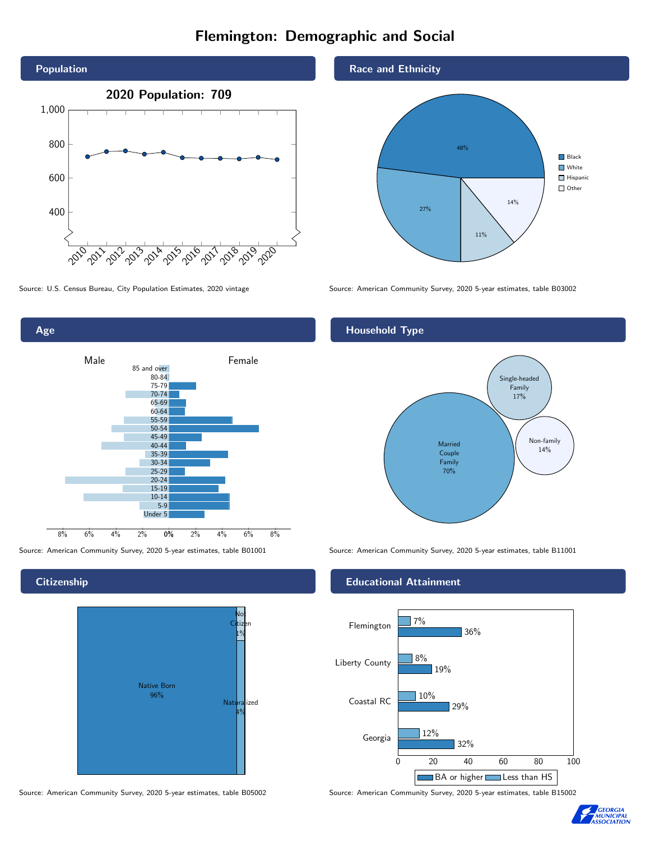# Flemington: Demographic and Social



0% 2% 4% 6% 8% Male **Female** 8% 6% 4% 2% 85 and over 80-84 75-79 70-74 65-69 60-64 55-59 50-54 45-49 40-44 35-39 30-34 25-29 20-24 15-19  $10-14$ 5-9 Under 5

## **Citizenship**

Age



Source: American Community Survey, 2020 5-year estimates, table B05002 Source: American Community Survey, 2020 5-year estimates, table B15002





Source: U.S. Census Bureau, City Population Estimates, 2020 vintage Source: American Community Survey, 2020 5-year estimates, table B03002

# Household Type



Source: American Community Survey, 2020 5-year estimates, table B01001 Source: American Community Survey, 2020 5-year estimates, table B11001

## Educational Attainment



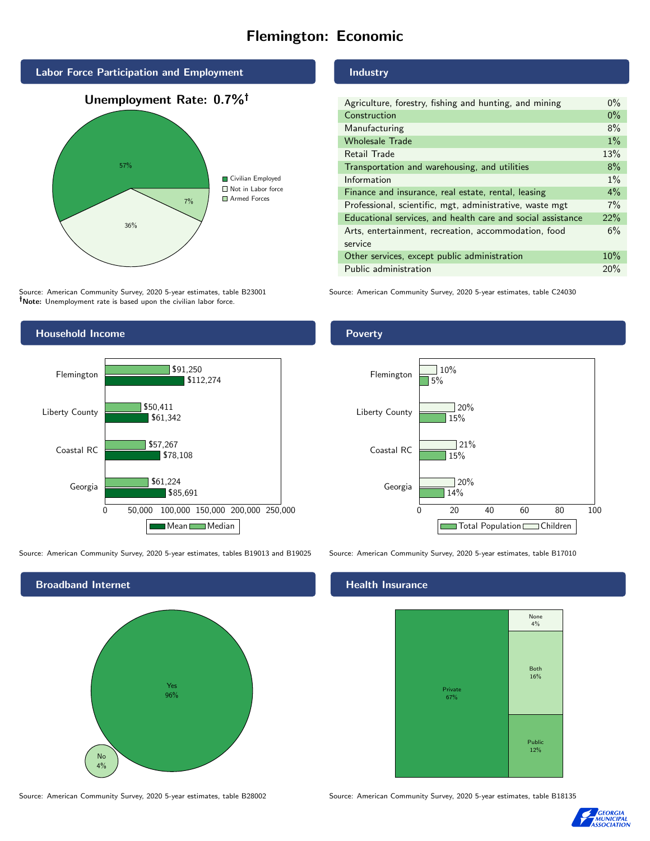# Flemington: Economic



Source: American Community Survey, 2020 5-year estimates, table B23001 Note: Unemployment rate is based upon the civilian labor force.

# Industry

Poverty

| Agriculture, forestry, fishing and hunting, and mining      | $0\%$ |
|-------------------------------------------------------------|-------|
| Construction                                                | $0\%$ |
| Manufacturing                                               | 8%    |
| <b>Wholesale Trade</b>                                      | $1\%$ |
| Retail Trade                                                | 13%   |
| Transportation and warehousing, and utilities               | 8%    |
| Information                                                 | $1\%$ |
| Finance and insurance, real estate, rental, leasing         | $4\%$ |
| Professional, scientific, mgt, administrative, waste mgt    | 7%    |
| Educational services, and health care and social assistance | 22%   |
| Arts, entertainment, recreation, accommodation, food        | 6%    |
| service                                                     |       |
| Other services, except public administration                | 10%   |
| Public administration                                       | 20%   |

Source: American Community Survey, 2020 5-year estimates, table C24030



Source: American Community Survey, 2020 5-year estimates, tables B19013 and B19025 Source: American Community Survey, 2020 5-year estimates, table B17010



14%

 $120%$ 

 $21%$ 

15%

15%

 $120%$ 

5%

 $10%$ 

### Health Insurance

Georgia

Coastal RC

Liberty County

Flemington



0 20 40 60 80 100

Total Population Children



Source: American Community Survey, 2020 5-year estimates, table B28002 Source: American Community Survey, 2020 5-year estimates, table B18135